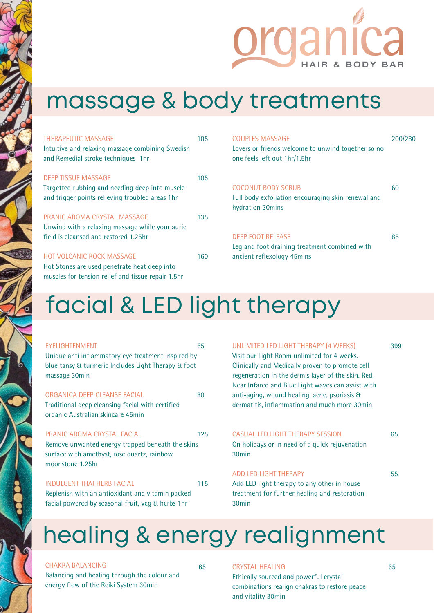

### massage & body treatments

| <b>THERAPEUTIC MASSAGE</b><br>Intuitive and relaxing massage combining Swedish<br>and Remedial stroke techniques 1hr | 105 | <b>COUPLES MASSAGE</b><br>Lovers or friends welcome to unwind together so no<br>one feels left out 1hr/1.5hr | 200/280 |
|----------------------------------------------------------------------------------------------------------------------|-----|--------------------------------------------------------------------------------------------------------------|---------|
| <b>DEEP TISSUE MASSAGE</b>                                                                                           | 105 |                                                                                                              |         |
| Targetted rubbing and needing deep into muscle                                                                       |     | <b>COCONUT BODY SCRUB</b>                                                                                    | 60      |
| and trigger points relieving troubled areas 1hr                                                                      |     | Full body exfoliation encouraging skin renewal and<br>hydration 30mins                                       |         |
| <b>PRANIC AROMA CRYSTAL MASSAGE</b>                                                                                  | 135 |                                                                                                              |         |
| Unwind with a relaxing massage while your auric                                                                      |     |                                                                                                              |         |
| field is cleansed and restored 1.25hr                                                                                |     | <b>DEEP FOOT RELEASE</b>                                                                                     | 85      |
|                                                                                                                      |     | Leg and foot draining treatment combined with                                                                |         |
| <b>HOT VOLCANIC ROCK MASSAGE</b>                                                                                     | 160 | ancient reflexology 45mins                                                                                   |         |
| Hot Stones are used penetrate heat deep into<br>muscles for tension relief and tissue repair 1.5hr                   |     |                                                                                                              |         |

# facial & LED light therapy

| EYELIGHTENMENT<br>Unique anti inflammatory eye treatment inspired by<br>blue tansy & turmeric Includes Light Therapy & foot<br>massage 30min       | 65  | UNLIMITED LED LIGHT THERAPY (4 WEEKS)<br>Visit our Light Room unlimited for 4 weeks.<br>Clinically and Medically proven to promote cell<br>regeneration in the dermis layer of the skin. Red,<br>Near Infared and Blue Light waves can assist with |
|----------------------------------------------------------------------------------------------------------------------------------------------------|-----|----------------------------------------------------------------------------------------------------------------------------------------------------------------------------------------------------------------------------------------------------|
| ORGANICA DEEP CLEANSE FACIAL<br>Traditional deep cleansing facial with certified<br>organic Australian skincare 45min                              | 80  | anti-aging, wound healing, acne, psoriasis &<br>dermatitis, inflammation and much more 30min                                                                                                                                                       |
| PRANIC AROMA CRYSTAL FACIAL<br>Remove unwanted energy trapped beneath the skins<br>surface with amethyst, rose quartz, rainbow<br>moonstone 1.25hr | 125 | CASUAL LED LIGHT THERAPY SESSION<br>On holidays or in need of a quick rejuvenation<br>30 <sub>min</sub>                                                                                                                                            |
| <b>INDULGENT THAI HERB FACIAL</b><br>Replenish with an antioxidant and vitamin packed<br>facial powered by seasonal fruit, veg & herbs 1hr         | 115 | ADD LED LIGHT THERAPY<br>Add LED light therapy to any other in house<br>treatment for further healing and restoration<br>30 <sub>min</sub>                                                                                                         |

# healing & energy realignment

CHAKRA BALANCING Balancing and healing through the colour and energy flow of the Reiki System 30min

CRYSTAL HEALING 65 65Ethically sourced and powerful crystal combinations realign chakras to restore peace and vitality 30min

399

65

55